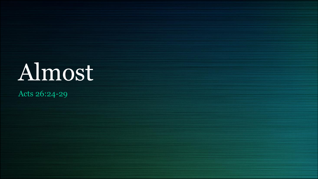# Almost

Acts 26:24-29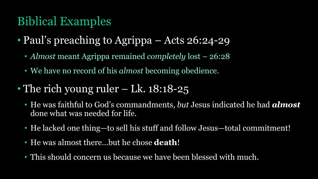## Biblical Examples

- Paul's preaching to Agrippa Acts 26:24-29
	- *Almost* meant Agrippa remained *completely* lost 26:28
	- We have no record of his *almost* becoming obedience.
- The rich young ruler Lk. 18:18-25
	- He was faithful to God's commandments, *but* Jesus indicated he had *almost* done what was needed for life.
	- He lacked one thing—to sell his stuff and follow Jesus—total commitment!
	- He was almost there…but he chose **death**!
	- This should concern us because we have been blessed with much.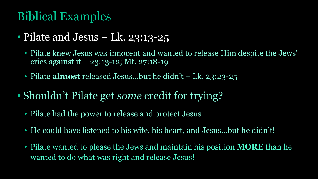## Biblical Examples

- Pilate and Jesus Lk. 23:13-25
	- Pilate knew Jesus was innocent and wanted to release Him despite the Jews' cries against it – 23:13-12; Mt. 27:18-19
	- Pilate **almost** released Jesus...but he didn't Lk. 23:23-25
- Shouldn't Pilate get *some* credit for trying?
	- Pilate had the power to release and protect Jesus
	- He could have listened to his wife, his heart, and Jesus…but he didn't!
	- Pilate wanted to please the Jews and maintain his position **MORE** than he wanted to do what was right and release Jesus!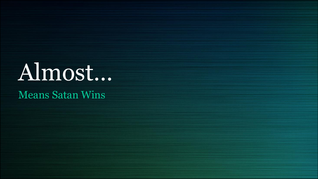## Almost…

#### Means Satan Wins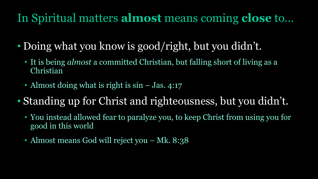## In Spiritual matters **almost** means coming **close** to…

- Doing what you know is good/right, but you didn't.
	- It is being *almost* a committed Christian, but falling short of living as a Christian
	- Almost doing what is right is  $sin J$  Jas. 4:17
- Standing up for Christ and righteousness, but you didn't.
	- You instead allowed fear to paralyze you, to keep Christ from using you for good in this world
	- Almost means God will reject you Mk. 8:38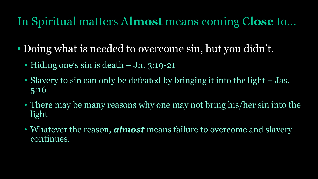### In Spiritual matters A**lmost** means coming C**lose** to…

- Doing what is needed to overcome sin, but you didn't.
	- Hiding one's sin is death Jn. 3:19-21
	- Slavery to sin can only be defeated by bringing it into the light Jas. 5:16
	- There may be many reasons why one may not bring his/her sin into the light
	- Whatever the reason, *almost* means failure to overcome and slavery continues.